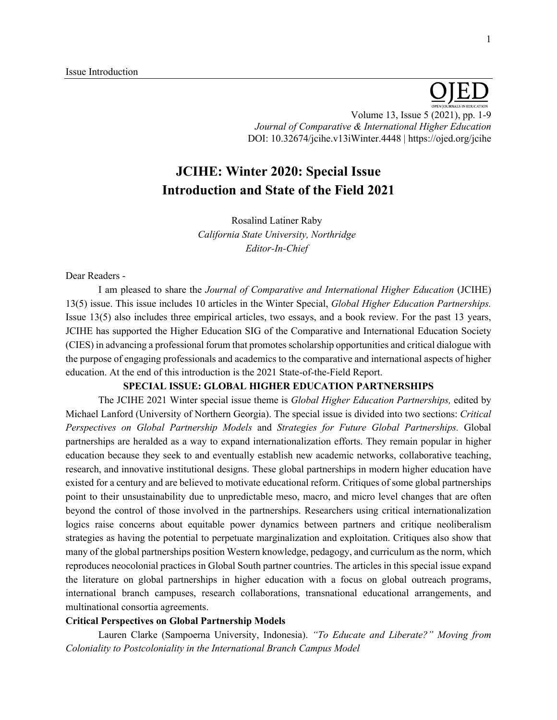Volume 13, Issue 5 (2021), pp. 1-9 *Journal of Comparative & International Higher Education* DOI: 10.32674/jcihe.v13iWinter.4448 | https://ojed.org/jcihe

# **JCIHE: Winter 2020: Special Issue Introduction and State of the Field 2021**

Rosalind Latiner Raby *California State University, Northridge Editor-In-Chief*

#### Dear Readers -

I am pleased to share the *Journal of Comparative and International Higher Education* (JCIHE) 13(5) issue. This issue includes 10 articles in the Winter Special, *Global Higher Education Partnerships.* Issue 13(5) also includes three empirical articles, two essays, and a book review. For the past 13 years, JCIHE has supported the Higher Education SIG of the Comparative and International Education Society (CIES) in advancing a professional forum that promotes scholarship opportunities and critical dialogue with the purpose of engaging professionals and academics to the comparative and international aspects of higher education. At the end of this introduction is the 2021 State-of-the-Field Report.

# **SPECIAL ISSUE: GLOBAL HIGHER EDUCATION PARTNERSHIPS**

The JCIHE 2021 Winter special issue theme is *Global Higher Education Partnerships,* edited by Michael Lanford (University of Northern Georgia). The special issue is divided into two sections: *Critical Perspectives on Global Partnership Models* and *Strategies for Future Global Partnerships.* Global partnerships are heralded as a way to expand internationalization efforts. They remain popular in higher education because they seek to and eventually establish new academic networks, collaborative teaching, research, and innovative institutional designs. These global partnerships in modern higher education have existed for a century and are believed to motivate educational reform. Critiques of some global partnerships point to their unsustainability due to unpredictable meso, macro, and micro level changes that are often beyond the control of those involved in the partnerships. Researchers using critical internationalization logics raise concerns about equitable power dynamics between partners and critique neoliberalism strategies as having the potential to perpetuate marginalization and exploitation. Critiques also show that many of the global partnerships position Western knowledge, pedagogy, and curriculum as the norm, which reproduces neocolonial practices in Global South partner countries. The articles in this special issue expand the literature on global partnerships in higher education with a focus on global outreach programs, international branch campuses, research collaborations, transnational educational arrangements, and multinational consortia agreements.

### **Critical Perspectives on Global Partnership Models**

Lauren Clarke (Sampoerna University, Indonesia). *"To Educate and Liberate?" Moving from Coloniality to Postcoloniality in the International Branch Campus Model*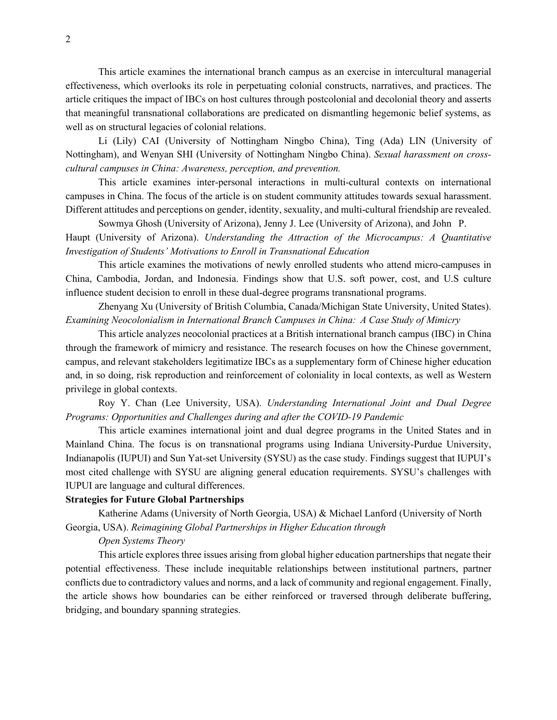This article examines the international branch campus as an exercise in intercultural managerial effectiveness, which overlooks its role in perpetuating colonial constructs, narratives, and practices. The article critiques the impact of IBCs on host cultures through postcolonial and decolonial theory and asserts that meaningful transnational collaborations are predicated on dismantling hegemonic belief systems, as well as on structural legacies of colonial relations.

Li (Lily) CAI (University of Nottingham Ningbo China), Ting (Ada) LIN (University of Nottingham), and Wenyan SHI (University of Nottingham Ningbo China). *Sexual harassment on crosscultural campuses in China: Awareness, perception, and prevention.*

This article examines inter-personal interactions in multi-cultural contexts on international campuses in China. The focus of the article is on student community attitudes towards sexual harassment. Different attitudes and perceptions on gender, identity, sexuality, and multi-cultural friendship are revealed.

Sowmya Ghosh (University of Arizona), Jenny J. Lee (University of Arizona), and John P. Haupt (University of Arizona). *Understanding the Attraction of the Microcampus: A Quantitative Investigation of Students' Motivations to Enroll in Transnational Education*

This article examines the motivations of newly enrolled students who attend micro-campuses in China, Cambodia, Jordan, and Indonesia. Findings show that U.S. soft power, cost, and U.S culture influence student decision to enroll in these dual-degree programs transnational programs.

Zhenyang Xu (University of British Columbia, Canada/Michigan State University, United States). *Examining Neocolonialism in International Branch Campuses in China: A Case Study of Mimicry*

This article analyzes neocolonial practices at a British international branch campus (IBC) in China through the framework of mimicry and resistance. The research focuses on how the Chinese government, campus, and relevant stakeholders legitimatize IBCs as a supplementary form of Chinese higher education and, in so doing, risk reproduction and reinforcement of coloniality in local contexts, as well as Western privilege in global contexts.

Roy Y. Chan (Lee University, USA). *Understanding International Joint and Dual Degree Programs: Opportunities and Challenges during and after the COVID-19 Pandemic*

This article examines international joint and dual degree programs in the United States and in Mainland China. The focus is on transnational programs using Indiana University-Purdue University, Indianapolis (IUPUI) and Sun Yat-set University (SYSU) as the case study. Findings suggest that IUPUI's most cited challenge with SYSU are aligning general education requirements. SYSU's challenges with IUPUI are language and cultural differences.

# **Strategies for Future Global Partnerships**

Katherine Adams (University of North Georgia, USA) & Michael Lanford (University of North Georgia, USA). *Reimagining Global Partnerships in Higher Education through* 

#### *Open Systems Theory*

This article explores three issues arising from global higher education partnerships that negate their potential effectiveness. These include inequitable relationships between institutional partners, partner conflicts due to contradictory values and norms, and a lack of community and regional engagement. Finally, the article shows how boundaries can be either reinforced or traversed through deliberate buffering, bridging, and boundary spanning strategies.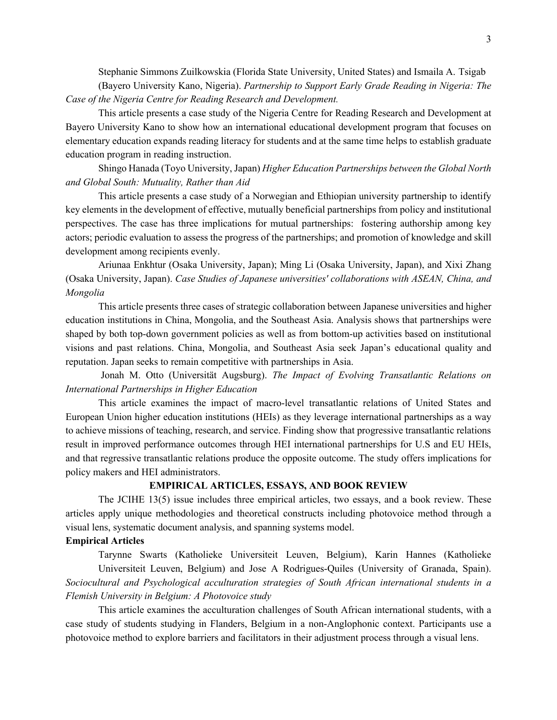Stephanie Simmons Zuilkowskia (Florida State University, United States) and Ismaila A. Tsigab (Bayero University Kano, Nigeria). *Partnership to Support Early Grade Reading in Nigeria: The Case of the Nigeria Centre for Reading Research and Development.*

This article presents a case study of the Nigeria Centre for Reading Research and Development at Bayero University Kano to show how an international educational development program that focuses on elementary education expands reading literacy for students and at the same time helps to establish graduate education program in reading instruction.

Shingo Hanada (Toyo University, Japan) *Higher Education Partnerships between the Global North and Global South: Mutuality, Rather than Aid*

This article presents a case study of a Norwegian and Ethiopian university partnership to identify key elements in the development of effective, mutually beneficial partnerships from policy and institutional perspectives. The case has three implications for mutual partnerships: fostering authorship among key actors; periodic evaluation to assess the progress of the partnerships; and promotion of knowledge and skill development among recipients evenly.

Ariunaa Enkhtur (Osaka University, Japan); Ming Li (Osaka University, Japan), and Xixi Zhang (Osaka University, Japan). *Case Studies of Japanese universities' collaborations with ASEAN, China, and Mongolia*

This article presents three cases of strategic collaboration between Japanese universities and higher education institutions in China, Mongolia, and the Southeast Asia. Analysis shows that partnerships were shaped by both top-down government policies as well as from bottom-up activities based on institutional visions and past relations. China, Mongolia, and Southeast Asia seek Japan's educational quality and reputation. Japan seeks to remain competitive with partnerships in Asia.

Jonah M. Otto (Universität Augsburg). *The Impact of Evolving Transatlantic Relations on International Partnerships in Higher Education*

This article examines the impact of macro-level transatlantic relations of United States and European Union higher education institutions (HEIs) as they leverage international partnerships as a way to achieve missions of teaching, research, and service. Finding show that progressive transatlantic relations result in improved performance outcomes through HEI international partnerships for U.S and EU HEIs, and that regressive transatlantic relations produce the opposite outcome. The study offers implications for policy makers and HEI administrators.

#### **EMPIRICAL ARTICLES, ESSAYS, AND BOOK REVIEW**

The JCIHE 13(5) issue includes three empirical articles, two essays, and a book review. These articles apply unique methodologies and theoretical constructs including photovoice method through a visual lens, systematic document analysis, and spanning systems model.

## **Empirical Articles**

Tarynne Swarts (Katholieke Universiteit Leuven, Belgium), Karin Hannes (Katholieke Universiteit Leuven, Belgium) and Jose A Rodrigues-Quiles (University of Granada, Spain). *Sociocultural and Psychological acculturation strategies of South African international students in a Flemish University in Belgium: A Photovoice study* 

This article examines the acculturation challenges of South African international students, with a case study of students studying in Flanders, Belgium in a non-Anglophonic context. Participants use a photovoice method to explore barriers and facilitators in their adjustment process through a visual lens.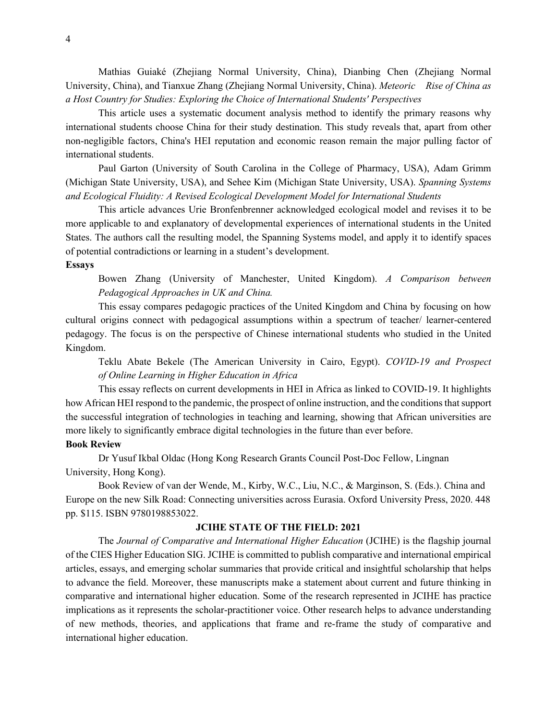Mathias Guiaké (Zhejiang Normal University, China), Dianbing Chen (Zhejiang Normal University, China), and Tianxue Zhang (Zhejiang Normal University, China). *Meteoric Rise of China as a Host Country for Studies: Exploring the Choice of International Students' Perspectives*

This article uses a systematic document analysis method to identify the primary reasons why international students choose China for their study destination. This study reveals that, apart from other non-negligible factors, China's HEI reputation and economic reason remain the major pulling factor of international students.

Paul Garton (University of South Carolina in the College of Pharmacy, USA), Adam Grimm (Michigan State University, USA), and Sehee Kim (Michigan State University, USA). *Spanning Systems and Ecological Fluidity: A Revised Ecological Development Model for International Students*

This article advances Urie Bronfenbrenner acknowledged ecological model and revises it to be more applicable to and explanatory of developmental experiences of international students in the United States. The authors call the resulting model, the Spanning Systems model, and apply it to identify spaces of potential contradictions or learning in a student's development.

#### **Essays**

Bowen Zhang (University of Manchester, United Kingdom). *A Comparison between Pedagogical Approaches in UK and China.*

This essay compares pedagogic practices of the United Kingdom and China by focusing on how cultural origins connect with pedagogical assumptions within a spectrum of teacher/ learner-centered pedagogy. The focus is on the perspective of Chinese international students who studied in the United Kingdom.

Teklu Abate Bekele (The American University in Cairo, Egypt). *COVID-19 and Prospect of Online Learning in Higher Education in Africa*

This essay reflects on current developments in HEI in Africa as linked to COVID-19. It highlights how African HEI respond to the pandemic, the prospect of online instruction, and the conditions that support the successful integration of technologies in teaching and learning, showing that African universities are more likely to significantly embrace digital technologies in the future than ever before.

## **Book Review**

Dr Yusuf Ikbal Oldac (Hong Kong Research Grants Council Post-Doc Fellow, Lingnan University, Hong Kong).

Book Review of van der Wende, M., Kirby, W.C., Liu, N.C., & Marginson, S. (Eds.). China and Europe on the new Silk Road: Connecting universities across Eurasia. Oxford University Press, 2020. 448 pp. \$115. ISBN 9780198853022.

# **JCIHE STATE OF THE FIELD: 2021**

The *Journal of Comparative and International Higher Education* (JCIHE) is the flagship journal of the CIES Higher Education SIG. JCIHE is committed to publish comparative and international empirical articles, essays, and emerging scholar summaries that provide critical and insightful scholarship that helps to advance the field. Moreover, these manuscripts make a statement about current and future thinking in comparative and international higher education. Some of the research represented in JCIHE has practice implications as it represents the scholar-practitioner voice. Other research helps to advance understanding of new methods, theories, and applications that frame and re-frame the study of comparative and international higher education.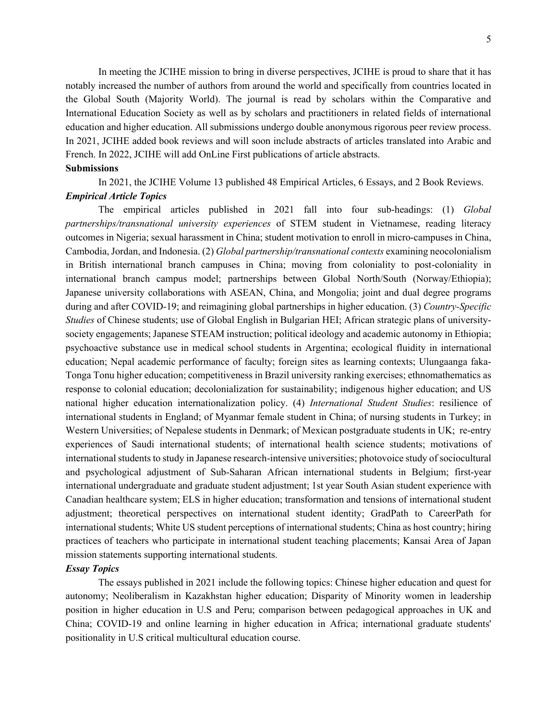In meeting the JCIHE mission to bring in diverse perspectives, JCIHE is proud to share that it has notably increased the number of authors from around the world and specifically from countries located in the Global South (Majority World). The journal is read by scholars within the Comparative and International Education Society as well as by scholars and practitioners in related fields of international education and higher education. All submissions undergo double anonymous rigorous peer review process. In 2021, JCIHE added book reviews and will soon include abstracts of articles translated into Arabic and French. In 2022, JCIHE will add OnLine First publications of article abstracts.

#### **Submissions**

In 2021, the JCIHE Volume 13 published 48 Empirical Articles, 6 Essays, and 2 Book Reviews.

## *Empirical Article Topics*

The empirical articles published in 2021 fall into four sub-headings: (1) *Global partnerships/transnational university experiences* of STEM student in Vietnamese, reading literacy outcomes in Nigeria; sexual harassment in China; student motivation to enroll in micro-campuses in China, Cambodia, Jordan, and Indonesia. (2) *Global partnership/transnational contexts* examining neocolonialism in British international branch campuses in China; moving from coloniality to post-coloniality in international branch campus model; partnerships between Global North/South (Norway/Ethiopia); Japanese university collaborations with ASEAN, China, and Mongolia; joint and dual degree programs during and after COVID-19; and reimagining global partnerships in higher education. (3) *Country-Specific Studies* of Chinese students; use of Global English in Bulgarian HEI; African strategic plans of universitysociety engagements; Japanese STEAM instruction; political ideology and academic autonomy in Ethiopia; psychoactive substance use in medical school students in Argentina; ecological fluidity in international education; Nepal academic performance of faculty; foreign sites as learning contexts; Ulungaanga faka-Tonga Tonu higher education; competitiveness in Brazil university ranking exercises; ethnomathematics as response to colonial education; decolonialization for sustainability; indigenous higher education; and US national higher education internationalization policy. (4) *International Student Studies*: resilience of international students in England; of Myanmar female student in China; of nursing students in Turkey; in Western Universities; of Nepalese students in Denmark; of Mexican postgraduate students in UK; re-entry experiences of Saudi international students; of international health science students; motivations of international students to study in Japanese research-intensive universities; photovoice study of sociocultural and psychological adjustment of Sub-Saharan African international students in Belgium; first-year international undergraduate and graduate student adjustment; 1st year South Asian student experience with Canadian healthcare system; ELS in higher education; transformation and tensions of international student adjustment; theoretical perspectives on international student identity; GradPath to CareerPath for international students; White US student perceptions of international students; China as host country; hiring practices of teachers who participate in international student teaching placements; Kansai Area of Japan mission statements supporting international students.

## *Essay Topics*

The essays published in 2021 include the following topics: Chinese higher education and quest for autonomy; Neoliberalism in Kazakhstan higher education; Disparity of Minority women in leadership position in higher education in U.S and Peru; comparison between pedagogical approaches in UK and China; COVID-19 and online learning in higher education in Africa; international graduate students' positionality in U.S critical multicultural education course.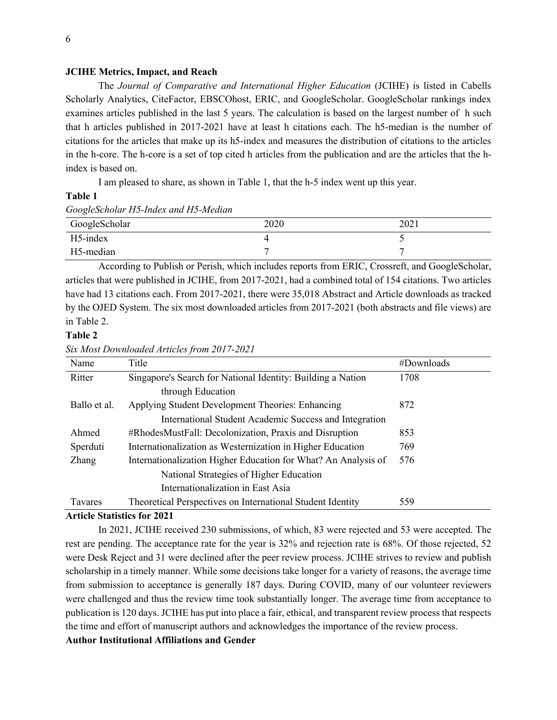### **JCIHE Metrics, Impact, and Reach**

The *Journal of Comparative and International Higher Education* (JCIHE) is listed in Cabells Scholarly Analytics, CiteFactor, EBSCOhost, ERIC, and GoogleScholar. GoogleScholar rankings index examines articles published in the last 5 years. The calculation is based on the largest number of h such that h articles published in 2017-2021 have at least h citations each. The h5-median is the number of citations for the articles that make up its h5-index and measures the distribution of citations to the articles in the h-core. The h-core is a set of top cited h articles from the publication and are the articles that the hindex is based on.

I am pleased to share, as shown in Table 1, that the h-5 index went up this year.

### **Table 1**

#### *GoogleScholar H5-Index and H5-Median*

| GoogleScholar | 2020 | 2021 |
|---------------|------|------|
| H5-index      |      |      |
| H5-median     |      |      |

According to Publish or Perish, which includes reports from ERIC, Crossreft, and GoogleScholar, articles that were published in JCIHE, from 2017-2021, had a combined total of 154 citations. Two articles have had 13 citations each. From 2017-2021, there were 35,018 Abstract and Article downloads as tracked by the OJED System. The six most downloaded articles from 2017-2021 (both abstracts and file views) are in Table 2.

# **Table 2**

*Six Most Downloaded Articles from 2017-2021*

| Name           | Title                                                          | #Downloads |
|----------------|----------------------------------------------------------------|------------|
| Ritter         | Singapore's Search for National Identity: Building a Nation    | 1708       |
|                | through Education                                              |            |
| Ballo et al.   | Applying Student Development Theories: Enhancing               | 872        |
|                | International Student Academic Success and Integration         |            |
| Ahmed          | #RhodesMustFall: Decolonization, Praxis and Disruption         | 853        |
| Sperduti       | Internationalization as Westernization in Higher Education     | 769        |
| <b>Zhang</b>   | Internationalization Higher Education for What? An Analysis of | 576        |
|                | National Strategies of Higher Education                        |            |
|                | Internationalization in East Asia                              |            |
| <b>Tavares</b> | Theoretical Perspectives on International Student Identity     | 559        |

#### **Article Statistics for 2021**

In 2021, JCIHE received 230 submissions, of which, 83 were rejected and 53 were accepted. The rest are pending. The acceptance rate for the year is 32% and rejection rate is 68%. Of those rejected, 52 were Desk Reject and 31 were declined after the peer review process. JCIHE strives to review and publish scholarship in a timely manner. While some decisions take longer for a variety of reasons, the average time from submission to acceptance is generally 187 days. During COVID, many of our volunteer reviewers were challenged and thus the review time took substantially longer. The average time from acceptance to publication is 120 days. JCIHE has put into place a fair, ethical, and transparent review process that respects the time and effort of manuscript authors and acknowledges the importance of the review process. **Author Institutional Affiliations and Gender**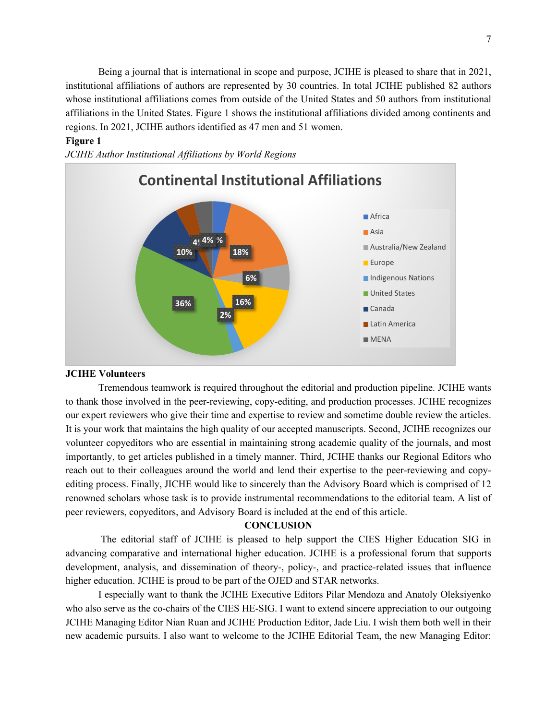Being a journal that is international in scope and purpose, JCIHE is pleased to share that in 2021, institutional affiliations of authors are represented by 30 countries. In total JCIHE published 82 authors whose institutional affiliations comes from outside of the United States and 50 authors from institutional affiliations in the United States. Figure 1 shows the institutional affiliations divided among continents and regions. In 2021, JCIHE authors identified as 47 men and 51 women.

# **Figure 1**

*JCIHE Author Institutional Affiliations by World Regions*



### **JCIHE Volunteers**

Tremendous teamwork is required throughout the editorial and production pipeline. JCIHE wants to thank those involved in the peer-reviewing, copy-editing, and production processes. JCIHE recognizes our expert reviewers who give their time and expertise to review and sometime double review the articles. It is your work that maintains the high quality of our accepted manuscripts. Second, JCIHE recognizes our volunteer copyeditors who are essential in maintaining strong academic quality of the journals, and most importantly, to get articles published in a timely manner. Third, JCIHE thanks our Regional Editors who reach out to their colleagues around the world and lend their expertise to the peer-reviewing and copyediting process. Finally, JICHE would like to sincerely than the Advisory Board which is comprised of 12 renowned scholars whose task is to provide instrumental recommendations to the editorial team. A list of peer reviewers, copyeditors, and Advisory Board is included at the end of this article.

## **CONCLUSION**

The editorial staff of JCIHE is pleased to help support the CIES Higher Education SIG in advancing comparative and international higher education. JCIHE is a professional forum that supports development, analysis, and dissemination of theory-, policy-, and practice-related issues that influence higher education. JCIHE is proud to be part of the OJED and STAR networks.

I especially want to thank the JCIHE Executive Editors Pilar Mendoza and Anatoly Oleksiyenko who also serve as the co-chairs of the CIES HE-SIG. I want to extend sincere appreciation to our outgoing JCIHE Managing Editor Nian Ruan and JCIHE Production Editor, Jade Liu. I wish them both well in their new academic pursuits. I also want to welcome to the JCIHE Editorial Team, the new Managing Editor: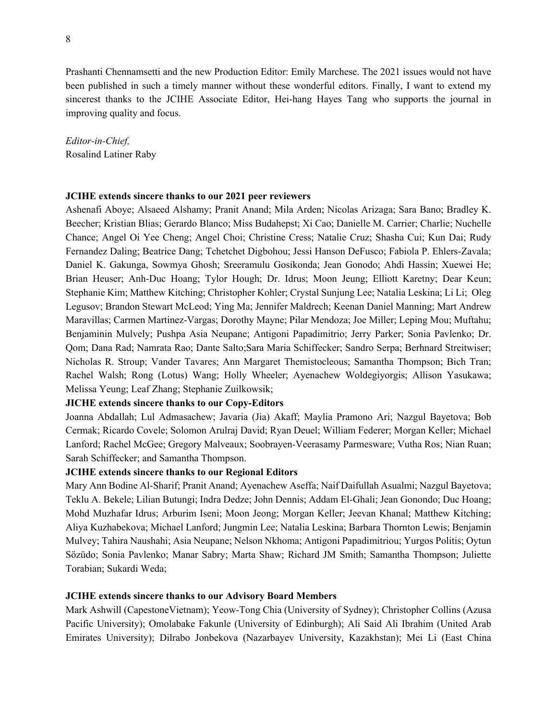Prashanti Chennamsetti and the new Production Editor: Emily Marchese. The 2021 issues would not have been published in such a timely manner without these wonderful editors. Finally, I want to extend my sincerest thanks to the JCIHE Associate Editor, Hei-hang Hayes Tang who supports the journal in improving quality and focus.

*Editor-in-Chief,*  Rosalind Latiner Raby

#### **JCIHE extends sincere thanks to our 2021 peer reviewers**

Ashenafi Aboye; Alsaeed Alshamy; Pranit Anand; Mila Arden; Nicolas Arizaga; Sara Bano; Bradley K. Beecher; Kristian Blias; Gerardo Blanco; Miss Budahepst; Xi Cao; Danielle M. Carrier; Charlie; Nuchelle Chance; Angel Oi Yee Cheng; Angel Choi; Christine Cress; Natalie Cruz; Shasha Cui; Kun Dai; Rudy Fernandez Daling; Beatrice Dang; Tchetchet Digbohou; Jessi Hanson DeFusco; Fabiola P. Ehlers-Zavala; Daniel K. Gakunga, Sowmya Ghosh; Sreeramulu Gosikonda; Jean Gonodo; Ahdi Hassin; Xuewei He; Brian Heuser; Anh-Duc Hoang; Tylor Hough; Dr. Idrus; Moon Jeung; Elliott Karetny; Dear Keun; Stephanie Kim; Matthew Kitching; Christopher Kohler; Crystal Sunjung Lee; Natalia Leskina; Li Li; Oleg Legusov; Brandon Stewart McLeod; Ying Ma; Jennifer Maldrech; Keenan Daniel Manning; Mart Andrew Maravillas; Carmen Martinez-Vargas; Dorothy Mayne; Pilar Mendoza; Joe Miller; Leping Mou; Muftahu; Benjaminin Mulvely; Pushpa Asia Neupane; Antigoni Papadimitrio; Jerry Parker; Sonia Pavlenko; Dr. Qom; Dana Rad; Namrata Rao; Dante Salto;Sara Maria Schiffecker; Sandro Serpa; Berhnard Streitwiser; Nicholas R. Stroup; Vander Tavares; Ann Margaret Themistocleous; Samantha Thompson; Bich Tran; Rachel Walsh; Rong (Lotus) Wang; Holly Wheeler; Ayenachew Woldegiyorgis; Allison Yasukawa; Melissa Yeung; Leaf Zhang; Stephanie Zuilkowsik;

## **JICHE extends sincere thanks to our Copy-Editors**

Joanna Abdallah; Lul Admasachew; Javaria (Jia) Akaff; Maylia Pramono Ari; Nazgul Bayetova; Bob Cermak; Ricardo Covele; Solomon Arulraj David; Ryan Deuel; William Federer; Morgan Keller; Michael Lanford; Rachel McGee; Gregory Malveaux; Soobrayen-Veerasamy Parmesware; Vutha Ros; Nian Ruan; Sarah Schiffecker; and Samantha Thompson.

## **JCIHE extends sincere thanks to our Regional Editors**

Mary Ann Bodine Al-Sharif; Pranit Anand; Ayenachew Aseffa; Naif Daifullah Asualmi; Nazgul Bayetova; Teklu A. Bekele; Lilian Butungi; Indra Dedze; John Dennis; Addam El-Ghali; Jean Gonondo; Duc Hoang; Mohd Muzhafar Idrus; Arburim Iseni; Moon Jeong; Morgan Keller; Jeevan Khanal; Matthew Kitching; Aliya Kuzhabekova; Michael Lanford; Jungmin Lee; Natalia Leskina; Barbara Thornton Lewis; Benjamin Mulvey; Tahira Naushahi; Asia Neupane; Nelson Nkhoma; Antigoni Papadimitriou; Yurgos Politis; Oytun Sözüdo; Sonia Pavlenko; Manar Sabry; Marta Shaw; Richard JM Smith; Samantha Thompson; Juliette Torabian; Sukardi Weda;

#### **JCIHE extends sincere thanks to our Advisory Board Members**

Mark Ashwill (CapestoneVietnam); Yeow-Tong Chia (University of Sydney); Christopher Collins (Azusa Pacific University); Omolabake Fakunle (University of Edinburgh); Ali Said Ali Ibrahim (United Arab Emirates University); Dilrabo Jonbekova (Nazarbayev University, Kazakhstan); Mei Li (East China